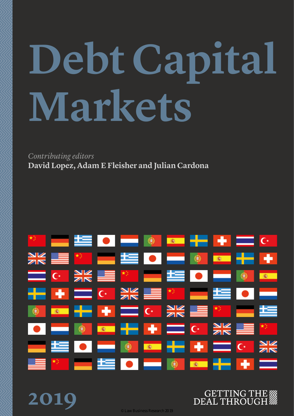# **Debt Capital Markets**

*Contributing editors* **David Lopez, Adam E Fleisher and Julian Cardona**

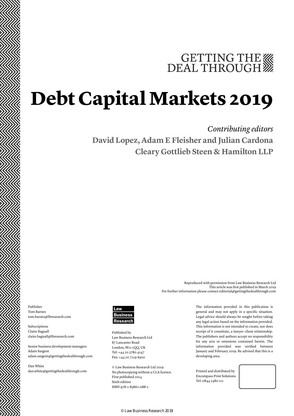## GETTING THE

### **Debt Capital Markets 2019**

### *Contributing editors* **David Lopez, Adam E Fleisher and Julian Cardona Cleary Gottlieb Steen & Hamilton LLP**

Publisher Tom Barnes tom.barnes@lbresearch.com

Subscriptions Claire Bagnall claire.bagnall@lbresearch.com

Senior business development managers Adam Sargent adam.sargent@gettingthedealthrough.com

Dan White dan.white@gettingthedealthrough.com



Published by Law Business Research Ltd 87 Lancaster Road London, W11 1QQ, UK Tel: +44 20 3780 4147 Fax: +44 20 7229 6910

© Law Business Research Ltd 2019 No photocopying without a CLA licence. First published 2014 Sixth edition ISBN 978-1-83862-088-2

The information provided in this publication is general and may not apply in a specific situation. Legal advice should always be sought before taking any legal action based on the information provided. This information is not intended to create, nor does receipt of it constitute, a lawyer–client relationship. The publishers and authors accept no responsibility for any acts or omissions contained herein. The information provided was verified between January and February 2019. Be advised that this is a developing area.

Reproduced with permission from Law Business Research Ltd

For further information please contact editorial@gettingthedealthrough.com

This article was first published in March 2019

Printed and distributed by Encompass Print Solutions Tel: 0844 2480 112



© Law Business Research 2019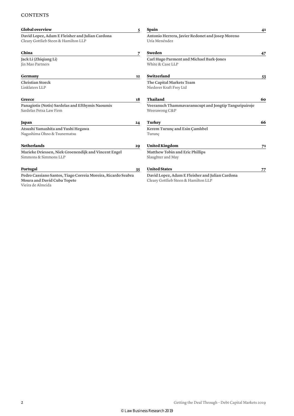#### **CONTENTS**

| <b>Global overview</b>                                                                                           | 5  | Spain                                                                                   | 41 |
|------------------------------------------------------------------------------------------------------------------|----|-----------------------------------------------------------------------------------------|----|
| David Lopez, Adam E Fleisher and Julian Cardona<br>Cleary Gottlieb Steen & Hamilton LLP                          |    | Antonio Herrera, Javier Redonet and Josep Moreno<br>Uría Menéndez                       |    |
| China                                                                                                            | 7  | Sweden                                                                                  | 47 |
| Jack Li (Zhiqiang Li)<br>Jin Mao Partners                                                                        |    | <b>Carl Hugo Parment and Michael Bark-Jones</b><br>White & Case LLP                     |    |
| Germany                                                                                                          | 12 | Switzerland                                                                             | 53 |
| <b>Christian Storck</b><br>Linklaters LLP                                                                        |    | The Capital Markets Team<br>Niederer Kraft Frey Ltd                                     |    |
| Greece                                                                                                           | 18 | Thailand                                                                                | 60 |
| Panagiotis (Notis) Sardelas and Efthymis Naoumis<br>Sardelas Petsa Law Firm                                      |    | Veeranuch Thammavaranucupt and Jongtip Tangsripairoje<br>Weerawong C&P                  |    |
| Japan                                                                                                            | 24 | Turkey                                                                                  | 66 |
| Atsushi Yamashita and Yushi Hegawa<br>Nagashima Ohno & Tsunematsu                                                |    | Kerem Turunç and Esin Camlıbel<br>Turunc                                                |    |
| <b>Netherlands</b>                                                                                               | 29 | <b>United Kingdom</b>                                                                   | 71 |
| Marieke Driessen, Niek Groenendijk and Vincent Engel<br>Simmons & Simmons LLP                                    |    | <b>Matthew Tobin and Eric Phillips</b><br>Slaughter and May                             |    |
| Portugal                                                                                                         | 35 | <b>United States</b>                                                                    | 77 |
| Pedro Cassiano Santos, Tiago Correia Moreira, Ricardo Seabra<br>Moura and David Cuba Topete<br>Vieira de Almeida |    | David Lopez, Adam E Fleisher and Julian Cardona<br>Cleary Gottlieb Steen & Hamilton LLP |    |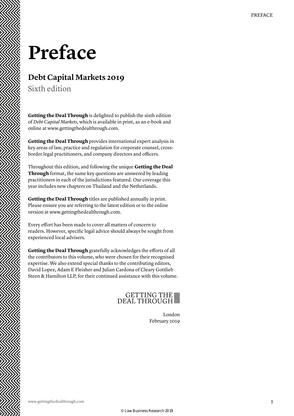### **Preface**

### **Debt Capital Markets 2019**

Sixth edition

**Getting the Deal Through** is delighted to publish the sixth edition of *Debt Capital Markets*, which is available in print, as an e-book and online at www.gettingthedealthrough.com.

**Getting the Deal Through** provides international expert analysis in key areas of law, practice and regulation for corporate counsel, crossborder legal practitioners, and company directors and officers.

Throughout this edition, and following the unique **Getting the Deal Through** format, the same key questions are answered by leading practitioners in each of the jurisdictions featured. Our coverage this year includes new chapters on Thailand and the Netherlands.

**Getting the Deal Through** titles are published annually in print. Please ensure you are referring to the latest edition or to the online version at www.gettingthedealthrough.com.

Every effort has been made to cover all matters of concern to readers. However, specific legal advice should always be sought from experienced local advisers.

**Getting the Deal Through** gratefully acknowledges the efforts of all the contributors to this volume, who were chosen for their recognised expertise. We also extend special thanks to the contributing editors, David Lopez, Adam E Fleisher and Julian Cardona of Cleary Gottlieb Steen & Hamilton LLP, for their continued assistance with this volume.

### GETTING THE

London February 2019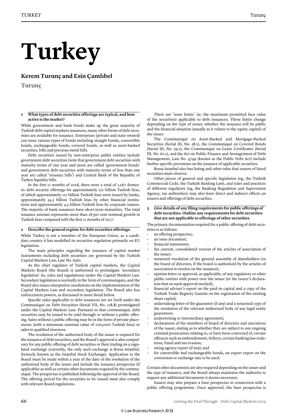# **Turkey**

**Kerem Turunç and Esin Çamlıbel**

**Turunç**

#### **1 What types of debt securities offerings are typical, and how active is the market?**

While government and bank bonds make up the great majority of Turkish debt capital markets issuances, many other forms of debt securities are available for issuance. Enterprises (private and state-owned) can issue various types of bonds including straight bonds, convertible bonds, exchangeable bonds, covered bonds, as well as asset-backed securities, bills and precious metal bills.

Debt securities issued by non-enterprise public entities include government debt securities (note that government debt securities with maturity terms of one year and more are called 'government bonds' and government debt securities with maturity terms of less than one year are called 'treasury bills') and Central Bank of the Republic of Turkey liquidity bills.

In the first 11 months of 2018, there were a total of 1,167 domestic debt security offerings for approximately 151 billion Turkish liras, of which approximately 112 billion Turkish liras were issued by banks, approximately 34.5 billion Turkish liras by other financial institutions and approximately 4.5 billion Turkish liras by corporate issuers. The majority of bank issuances have short-term maturities. The total issuance amount represents more than 28 per cent nominal growth in Turkish liras compared with the first 11 months of 2017.

#### **2 Describe the general regime for debt securities offerings.**

While Turkey is not a member of the European Union, as a candidate country it has modelled its securities regulation primarily on EU legislation.

The main principles regarding the issuance of capital market instruments including debt securities are governed by the Turkish Capital Markets Law, Law No. 6362.

As the chief regulator of Turkish capital markets, the Capital Markets Board (the Board) is authorised to promulgate 'secondary legislation' (ie, rules and regulations) under the Capital Markets Law. Secondary legislation is normally in the form of communiqués, and the Board also issues interpretive resolutions on the implementation of the Capital Markets Law and secondary legislation. The Board also has enforcement powers, as discussed in more detail below.

Specific rules applicable to debt issuances are set forth under the Communiqué on Debt Securities (Serial VII, No. 128.8) promulgated under the Capital Markets Law. Pursuant to that communiqué, debt securities may be issued to be sold through or without a public offering. Sales without a public offering may be in the form of private placements (with a minimum nominal value of 100,000 Turkish liras) or sales to qualified investors.

The resolution of the authorised body of the issuer is required for the issuance of debt securities, and the Board's approval is also compulsory for any public offering of debt securities or their trading on a regulated exchange (currently, the only such exchange is Borsa Istanbul, formerly known as the Istanbul Stock Exchange). Application to the Board must be made within a year of the date of the resolution of the authorised body of the issuer and include the issuance prospectus (if applicable) as well as certain other documents required by the communiqué. The prospectus is published following the approval of the Board. The offering period for the securities to be issued must also comply with relevant Board regulations.

There are 'issue limits' (ie, the maximum permitted face value of the securities) applicable to debt issuances. These limits change depending on the type of issuer, whether the issuance will be public and the financial situation (usually as it relates to the equity capital) of the issuer.

The Communiqué on Asset-Backed and Mortgage-Backed Securities (Serial III, No. 58.1), the Communiqué on Covered Bonds (Serial III, No. 59.1), the Communiqué on Lease Certificates (Serial III, No. 61.1), and the Act on Public Finance and Arrangement of Debt Management, Law No. 4749 (known as the Public Debt Act) include further specific provisions on the issuance of applicable securities.

Borsa Istanbul also has listing and other rules that issuers of listed securities must observe.

Other pieces of general and specific legislation (eg, the Turkish Commercial Code, the Turkish Banking Law), and rules and practices of different regulators (eg, the Banking Regulation and Supervision Agency, tax authorities) may also have direct and indirect effects on issuers and offerings of debt securities.

#### **3 Give details of any filing requirements for public offerings of debt securities. Outline any requirements for debt securities that are not applicable to offerings of other securities.**

The primary documentation required for a public offering of debt securities is as follows:

- an offering prospectus;
- an issue document;
- financial statements;
- the current, consolidated version of the articles of association of the issuer;
- notarised resolution of the general assembly of shareholders (or the board of directors, if the board is authorised by the articles of association to resolve on the issuance);
- opinion letter or approval, as applicable, of any regulatory or other public entities with power over the issuer (or the issuer's declaration that no such approval needed);
- financial adviser's report on the paid-in capital and a copy of the Turkish Trade Registry Gazette on the registration of the existing share capital;
- undertaking letter of the guarantor (if any) and a notarised copy of the resolution of the relevant authorised body of any legal entity guarantors;
- underwriting or intermediary agreement;
- declarations of the members of board of directors and executives of the issuer, stating as to whether they are subject to any ongoing criminal prosecution relating to, or have been convicted of, certain offences such as embezzlement, bribery, certain banking law violations, fraud and tax evasion;
- rating agency report (if any); and
- for convertible and exchangeable bonds, an expert report on the conversion or exchange rate to be used.

Certain other documents are also required depending on the issuer and the type of issuance, and the Board always maintains the authority to request any additional documents it deems necessary.

Issuers may also prepare a base prospectus in connection with a public offering programme. Once approved, the base prospectus is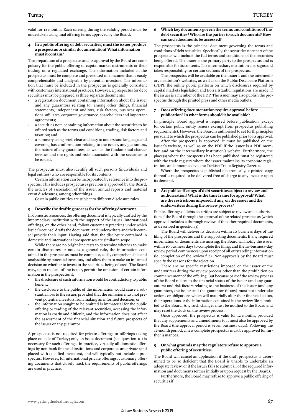valid for 12 months. Each offering during the validity period must be undertaken using final offering terms approved by the Board.

#### **4 In a public offering of debt securities, must the issuer produce a prospectus or similar documentation? What information must it contain?**

The preparation of a prospectus and its approval by the Board are compulsory for the public offering of capital market instruments or their trading on a regulated exchange. The information included in the prospectus must be complete and presented in a manner that is easily comprehensible and analysable by potential investors. The information that must be included in the prospectus is generally consistent with customary international practices. However, a prospectus for debt securities must be prepared as three separate documents:

- a registration document containing information about the issuer and any guarantors relating to, among other things, financial statements, independent auditors, risk factors, business operations, affiliates, corporate governance, shareholders and important agreements;
- a securities note containing information about the securities to be offered such as the terms and conditions, trading, risk factors and taxation; and
- a summary using brief, clear and easy to understand language, and covering basic information relating to the issuer, any guarantors, the nature of any guarantees, as well as the fundamental characteristics and the rights and risks associated with the securities to be issued.

The prospectus must also identify all such persons (individuals and legal entities) who are responsible for its contents.

Certain information can be incorporated by reference into the prospectus. This includes prospectuses previously approved by the Board, the articles of association of the issuer, annual reports and material event disclosures, among other things.

Certain public entities are subject to different disclosure rules.

#### **5 Describe the drafting process for the offering document.**

In domestic issuances, the offering document is typically drafted by the intermediary institution with the support of the issuer. International offerings, on the other hand, follow customary practices under which issuer's counsel drafts the document, and underwriters and their counsel provide their input. Having said that, the disclosure contained in domestic and international prospectuses are similar in scope.

While there are no bright-line tests to determine whether to make certain disclosures or not, as a general rule, the information contained in the prospectus must be complete, easily comprehensible and analysable by potential investors, and allow them to make an informed decision on whether to invest in the securities being offered. The Board may, upon request of the issuer, permit the omission of certain information in the prospectus if:

- the disclosure of such information would be contradictory to public benefit;
- the disclosure to the public of the information would cause a substantial loss to the issuer, provided that the omission must not prevent potential investors from making an informed decision; or
- the information sought to be omitted is immaterial for the public offering or trading of the relevant securities, accessing the information is costly and difficult, and the information does not affect the assessment of the financial situation and future prospects of the issuer or any guarantor.

A prospectus is not required for private offerings or offerings taking place outside of Turkey; only an issue document (see question 10) is necessary for such offerings. In practice, virtually all domestic offerings by non-bank financial institutions and corporates are private (and placed with qualified investors), and will typically not include a prospectus. However, for international private offerings, customary offering documents that closely track the requirements of public offerings are used in practice.

#### **6 Which key documents govern the terms and conditions of the debt securities? Who are the parties to such documents? How can such documents be accessed?**

The prospectus is the principal document governing the terms and conditions of debt securities. Specifically, the securities note part of the prospectus will include the full terms and conditions of the securities being offered. The issuer is the primary party to the prospectus and is responsible for its contents. The intermediary institution also signs and takes responsibility for certain sections of the prospectus.

The prospectus will be available on the issuer's and the intermediary institution's websites, as well as on the Public Disclosure Platform (PDP), the online public platform on which disclosures required by capital markets legislation and Borsa Istanbul regulations are made, if the issuer is a member of the PDP. The issuer may also publish the prospectus through the printed press and other media outlets.

#### **7 Does offering documentation require approval before publication? In what forms should it be available?**

In principle, Board approval is required before publication (except for certain public entity issuers exempt from prospectus publishing requirements). However, the Board is authorised to set forth principles pursuant to which the prospectus can be published prior to its approval.

After the prospectus is approved, it must be published on the issuer's website, as well as on the PDP if the issuer is a PDP member, and on the intermediary institution's website. Furthermore, the place(s) where the prospectus has been published must be registered with the trade registry where the issuer maintains its corporate registration, and announced via the Turkish Trade Registry Gazette.

Where the prospectus is published electronically, a printed copy thereof is required to be delivered free of charge to any investor upon its demand.

#### **8 Are public offerings of debt securities subject to review and authorisation? What is the time frame for approval? What are the restrictions imposed, if any, on the issuer and the underwriters during the review process?**

Public offerings of debts securities are subject to review and authorisation of the Board through the approval of the related prospectus (which approval includes a thorough review of the other required documents, as described in question 3).

The Board will deliver its decision within 10 business days of the filing of the prospectus and the supporting documents. If any required information or documents are missing, the Board will notify the issuer within 10 business days to complete the filing, and the 10-business-day review period commences upon receipt of all outstanding information (ie, completion of the review file). Non-approvals by the Board must specify the reasons for the rejection.

There are no specific restrictions imposed on the issuer or the underwriters during the review process other than the prohibition on commencement of the offering. But because part of the review process of the Board relates to the financial status of the issuer (and any guarantors) and risk factors relating to the business of the issuer (and any guarantor), the issuer and the guarantor (if any) must not undertake actions or obligations which will materially alter their financial status, their operations or the information contained in the review file submitted to the Board. Any such changes must be notified to the Board and may reset the clock on the review process.

Once approved, the prospectus is valid for 12 months, provided that any supplements and amendments to it must also be approved by the Board (the approval period is seven business days). Following the 12-month period, a new complete prospectus must be approved for further issuances.

#### **9 On what grounds may the regulators refuse to approve a public offering of securities?**

The Board will cancel an application if the draft prospectus is determined to be so deficient that the Board is unable to undertake an adequate review, or if the issuer fails to submit all of the required information and documents (either initially or upon request by the Board).

Furthermore, the Board may refuse to approve a public offering of securities if: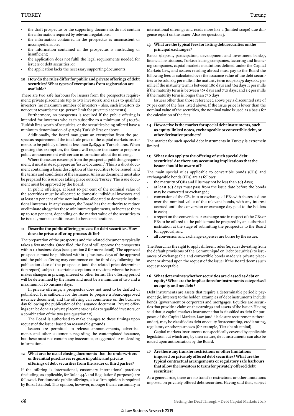- the draft prospectus or the supporting documents do not contain the information required by relevant regulations;
- the information contained in the prospectus is inconsistent or incomprehensible;
- the information contained in the prospectus is misleading or insufficient;
- the application does not fulfil the legal requirements needed for issuers or debt securities; or
- the application lacks the necessary supporting documents.

#### **10 How do the rules differ for public and private offerings of debt securities? What types of exemptions from registration are available?**

There are two safe harbours for issuers from the prospectus requirement: private placements (up to 150 investors); and sales to qualified investors (no maximum number of investors – also, such investors do not count towards the 150-person limit for private placements).

Furthermore, no prospectus is required if the public offering is intended for investors who each subscribe to a minimum of 410,784 Turkish liras-worth of securities, or the securities being offered have a minimum denomination of 410,784 Turkish liras or above.

Additionally, the Board may grant an exemption from the prospectus requirement if the total sale price of the capital markets instruments to be publicly offered is less than 8,289,910 Turkish liras. When granting this exemption, the Board will require the issuer to prepare a public announcement with certain information about the offering.

Where the issuer is exempt from the prospectus publishing requirement, it must instead prepare an 'issue document'. This is a short document containing a basic description of the securities to be issued, and the terms and conditions of the issuance. An issue document must also be prepared for issuances taking place outside Turkey. The issue document must be approved by the Board.

In public offerings, at least 10 per cent of the nominal value of the securities must be allocated to domestic individual investors and at least 10 per cent of the nominal value allocated to domestic institutional investors. In any issuance, the Board has the authority to reduce or eliminate altogether these minimum requirements, or increase them up to 100 per cent, depending on the market value of the securities to be issued, market conditions and other considerations.

#### **11 Describe the public offering process for debt securities. How does the private offering process differ?**

The preparation of the prospectus and the related documents typically takes a few months. Once filed, the Board will approve the prospectus within 10 business days (see question 8 for more detail). The approved prospectus must be published within 15 business days of the approval and the public offering may commence on the third day following the publication date of the prospectus (and the related price determination report), subject to certain exceptions or revisions where the issuer makes changes in pricing, interest or other terms. The offering period will be determined by the issuer and must be a minimum of two and a maximum of 20 business days.

In private offerings, a prospectus does not need to be drafted or published. It is sufficient for the issuer to prepare a Board-approved issuance document, and the offering can commence on the business day following the publication of the issuance document. Private offerings can be done as private placements or sales to qualified investors, or a combination of the two (see question 10).

The Board is authorised to make changes to these timings upon request of the issuer based on reasonable grounds.

Issuers are permitted to release announcements, advertisements and other statements regarding the contemplated issuance, but these must not contain any inaccurate, exaggerated or misleading information.

#### **12 What are the usual closing documents that the underwriters or the initial purchasers require in public and private offerings of debt securities from the issuer or third parties?**

If the offering is international, customary international practices (including, as applicable, for Rule 144A and Regulation S purposes) are followed. For domestic public offerings, a law firm opinion is required by Borsa Istanbul. This opinion, however, is longer than is customary in international offerings and reads more like a (limited scope) due diligence report on the issuer. Also see question 3.

#### **13 What are the typical fees for listing debt securities on the principal exchanges?**

Banks (deposit, participation, development and investment banks), financial institutions, Turkish leasing companies, factoring and financing companies, capital markets institutions defined under the Capital Markets Law, and issuers residing abroad must pay to the Board the following fees as calculated over the issuance value of the debt securities to be sold: 0.5 per mille if the maturity term is up to 179 days; 0.7 per mille if the maturity term is between 180 days and 364 days; 1 per mille if the maturity term is between 365 days and 730 days; and 1.5 per mille if the maturity term is longer than 730 days.

Issuers other than those referenced above pay a discounted rate of 75 per cent of the fees listed above. If the issue price is lower than the nominal value of the securities, the nominal value is used as a basis for the calculation of the fees.

#### **14 How active is the market for special debt instruments, such as equity-linked notes, exchangeable or convertible debt, or other derivative products?**

The market for such special debt instruments in Turkey is extremely limited.

#### **15 What rules apply to the offering of such special debt securities? Are there any accounting implications that the issuer should be aware of ?**

The main special rules applicable to convertible bonds (CBs) and exchangeable bonds (EBs) are as follows:

- the maturity of CBs and EBs may not be less than 365 days;
- at least 365 days must pass from the issue date before the bonds may be converted or exchanged;
- conversion of the CBs into or exchange of EBs with shares is done over the nominal value of the relevant bonds, with any interest accrued until the conversion or exchange day paid to the holders in cash;
- a report on the conversion or exchange rate in respect of the CBs or EBs to be offered to the public must be prepared by an authorised institution at the stage of submitting the prospectus to the Board for approval; and
- all conversion and exchange expenses are borne by the issuer.

The Board has the right to apply different rules (ie, rules deviating from the default provisions of the Communiqué on Debt Securities) to issuances of exchangeable and convertible bonds made via private placement or abroad upon the request of the issuer if the Board deems such request acceptable.

#### **16 What determines whether securities are classed as debt or equity? What are the implications for instruments categorised as equity and not debt?**

Debt instruments are assets that require a determinable periodic payment (ie, interest) to the holder. Examples of debt instruments include bonds (government or corporate) and mortgages. Equities are securities that provide a claim on the earnings and assets of the issuer. Having said that, a capital markets instrument that is classified as debt for purposes of the Capital Markets Law (and disclosure requirements thereunder), may be classified as debt or equity for accounting, credit rating, regulatory or other purposes (for example, Tier 2 bank capital).

Capital markets instruments not specifically covered by applicable legislation but which are, by their nature, debt instruments can also be issued upon authorisation by the Board.

#### **17 Are there any transfer restrictions or other limitations imposed on privately offered debt securities? What are the typical contractual arrangements or regulatory safe harbours that allow the investors to transfer privately offered debt securities?**

As a general rule, there are no transfer restrictions or other limitations imposed on privately offered debt securities. Having said that, subject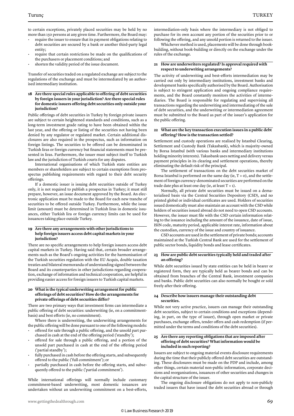to certain exceptions, privately placed securities may be held by no more than 150 persons at any given time. Furthermore, the Board may:

- require the issuer to ensure that its payment obligations relating to debt securities are secured by a bank or another third-party legal entity;
- require that certain restrictions be made on the qualifications of the purchasers or placement conditions; and
- shorten the validity period of the issue document.

Transfer of securities traded on a regulated exchange are subject to the regulations of the exchange and must be intermediated by an authorised intermediary institution.

#### **18 Are there special rules applicable to offering of debt securities by foreign issuers in your jurisdiction? Are there special rules for domestic issuers offering debt securities only outside your jurisdiction?**

Public offerings of debt securities in Turkey by foreign private issuers are subject to certain heightened standards and conditions, such as a long-term investment grade rating to have been obtained within the last year, and the offering or listing of the securities not having been denied by any regulator or regulated market. Certain additional disclosures are also required in the prospectus, such as information on foreign listings. The securities to be offered can be denominated in Turkish liras or foreign currency but financial statements must be presented in liras. Furthermore, the issuer must subject itself to Turkish law and the jurisdiction of Turkish courts for any disputes.

International organisations of which Turkish state entities are members or shareholders are subject to certain exemptions from prospectus publishing requirements with regard to their debt security offerings.

If a domestic issuer is issuing debt securities outside of Turkey only, it is not required to publish a prospectus in Turkey; it must still prepare, however, an issue document approved by the Board. An electronic application must be made to the Board for each new tranche of securities to be offered outside Turkey. Furthermore, while the issue limit (amount) must be determined in Turkish liras in domestic issuances, either Turkish lira or foreign currency limits can be used for issuances taking place outside Turkey.

#### **19 Are there any arrangements with other jurisdictions to help foreign issuers access debt capital markets in your jurisdiction?**

There are no specific arrangements to help foreign issuers access debt capital markets in Turkey. Having said that, certain broader arrangements such as the Board's ongoing activities for the harmonisation of the Turkish securities regulation with the EU Acquis, double taxation treaties and bilateral memoranda of understanding signed between the Board and its counterparties in other jurisdictions regarding cooperation, exchange of information and technical cooperation, are helpful in providing easier access for foreign issuers to Turkish capital markets.

#### **20 What is the typical underwriting arrangement for public offerings of debt securities? How do the arrangements for private offerings of debt securities differ?**

There are two primary ways that investment firms can intermediate a public offering of debt securities: underwriting (ie, on a commitmentbasis) and best efforts (ie, no commitment).

Where there is underwriting, the underwriting arrangements for the public offering will be done pursuant to one of the following models:

- offered for sale through a public offering, and the unsold part purchased in cash at the end of the offering period ('standby');
- offered for sale through a public offering, and a portion of the unsold part purchased in cash at the end of the offering period ('partial standby');
- fully purchased in cash before the offering starts, and subsequently offered to the public ('full commitment'); or
- partially purchased in cash before the offering starts, and subsequently offered to the public ('partial commitment').

While international offerings will normally include customary commitment-based underwriting, most domestic issuances are undertaken without an underwriting commitment on a best-efforts, intermediation-only basis where the intermediary is not obliged to purchase for its own account any portion of the securities prior to or following the offering, and any unsold portion is returned to the issuer.

Whichever method is used, placements will be done through bookbuilding, without book-building or directly on the exchange under the rules of the exchange.

#### **21 How are underwriters regulated? Is approval required with respect to underwriting arrangements?**

The activity of underwriting and best-efforts intermediation may be carried out only by intermediary institutions, investment banks and development banks specifically authorised by the Board. Authorisation is subject to stringent application and ongoing compliance requirements, and the Board constantly monitors the activities of intermediaries. The Board is responsible for regulating and supervising all transactions regarding the underwriting and intermediating of the sale of debt securities, and the underwriting or intermediation agreement must be submitted to the Board as part of the issuer's application for the public offering.

#### **22 What are the key transaction execution issues in a public debt offering? How is the transaction settled?**

Settlement and custody operations are realised by Istanbul Clearing, Settlement and Custody Bank (Takasbank), which is majority-owned by Borsa Istanbul (with various banks and intermediary institutions holding minority interests). Takasbank uses netting and delivery versus payment principles in its clearing and settlement operations, thereby eliminating the default risk of the principal.

The settlement of transactions on the debt securities market of Borsa Istanbul is performed on the same day (ie,  $T + o$ ), and the settlement of foreign currency-denominated securities are performed on the trade date plus at least one day (ie, at least  $T + 1$ ).

Normally, all private debt securities must be issued on a dematerialised basis via the Central Securities Depository (CSD), and no printed global or individual certificates are used. Holders of securities issued domestically must also maintain an account with the CSD while holders of securities issued abroad do not need to open CSD accounts. However, the issuer must file with the CSD certain information relating to the issuance including the amount of the issuance, date of issue, ISIN code, maturity period, applicable interest rate, information about the custodian, currency of the issue and country of issuance.

CSD accounts are used in the settlement of private bonds; accounts maintained at the Turkish Central Bank are used for the settlement of public sector bonds, liquidity bonds and lease certificates.

#### **23 How are public debt securities typically held and traded after an offering?**

While debt securities issued by state entities can be held in bearer or registered form, they are typically held as bearer bonds and can be obtained from branches of the Central Bank, investment companies and banks. Public debt securities can also normally be bought or sold freely after their offering.

#### **24 Describe how issuers manage their outstanding debt securities.**

While not very active practice, issuers can manage their outstanding debt securities, subject to certain conditions and exceptions (depending, in part, on the type of issuer), through open market or private purchases, exchange offers, tender offers and cash redemption (if permitted under the terms and conditions of the debt securities).

#### **25 Are there any reporting obligations that are imposed after offering of debt securities? What information would be included in such reporting?**

Issuers are subject to ongoing material events disclosure requirements during the time that their publicly offered debt securities are outstanding. These disclosures must be made on the PDP and include, among other things, certain material non-public information, corporate decisions and reorganisations, issuances of other securities and changes in the capital structure of the issuer.

The ongoing disclosure obligations do not apply to non-publicly traded issuers that have issued the debt securities abroad or through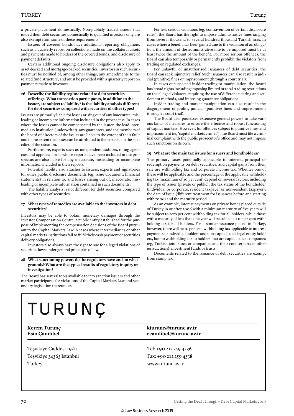a private placement domestically. Non-publicly traded issuers that issued their debt securities domestically to qualified investors only are also exempt from some of these requirements.

Issuers of covered bonds have additional reporting obligations such as a quarterly report on collections made on the collateral assets and payments made to holders of the covered bonds, and disclosure of payment defaults.

Certain additional ongoing disclosure obligations also apply to asset-backed and mortgage-backed securities. Investors in such securities must be notified of, among other things, any amendments to the related fund structure, and must be provided with a quarterly report on payments made to investors.

#### **26 Describe the liability regime related to debt securities offerings. What transaction participants, in addition to the issuer, are subject to liability? Is the liability analysis different for debt securities compared with securities of other types?**

Issuers are primarily liable for losses arising out of any inaccurate, misleading or incomplete information included in the prospectus. In cases where the losses cannot be compensated by the issuer, the lead intermediary institution (underwriter), any guarantors, and the members of the board of directors of the issuer are liable to the extent of their fault and to the extent the losses can be attributed to them based on the specifics of the situation.

Furthermore, experts such as independent auditors, rating agencies and appraisal firms whose reports have been included in the prospectus are also liable for any inaccurate, misleading or incomplete information included in their reports.

Potential liability also attaches to issuers, experts and signatories for other public disclosure documents (eg, issue document, financial statements) in relation to, and losses arising out of, inaccurate, misleading or incomplete information contained in such documents.

The liability analysis is not different for debt securities compared with other types of securities.

#### **27 What types of remedies are available to the investors in debt securities?**

Investors may be able to obtain monetary damages through the Investor Compensation Centre, a public entity established for the purpose of implementing the compensation decisions of the Board pursuant to the Capital Markets Law in cases where intermediaries or other capital markets institutions fail to fulfil their cash payment or securities delivery obligations.

Investors also always have the right to sue for alleged violations of securities laws under general principles of law.

#### **28 What sanctioning powers do the regulators have and on what grounds? What are the typical results of regulatory inquiry or investigation?**

The Board has several tools available to it to sanction issuers and other market participants for violations of the Capital Markets Law and secondary legislation thereunder.

For less serious violations (eg, contravention of certain disclosure rules), the Board has the right to impose administrative fines ranging from several thousand to several hundred thousand Turkish liras. In cases where a benefit has been gained due to the violation of an obligation, the amount of the administrative fine to be imposed must be at least twice the amount of the benefit. For more serious offences, the Board can also temporarily or permanently prohibit the violators from trading on regulated exchanges.

For unlawful or unauthorised issuances of debt securities, the Board can seek injunctive relief. Such issuances can also result in judicial (punitive) fines or imprisonment (through a court trial).

In cases of suspected insider trading or manipulation, the Board has broad rights including imposing limited or total trading restrictions on the alleged violators, requiring the use of different clearing and settlement methods, and imposing guarantee obligations.

Insider trading and market manipulation can also result in the disgorgement of profits, judicial (punitive) fines and imprisonment (through a court trial).

The Board also possesses extensive general powers to take various kinds of measures to ensure the effective and robust functioning of capital markets. However, for offences subject to punitive fines and imprisonment (ie, 'capital markets crimes'), the Board must file a criminal complaint with the public prosecutor's office and may not impose such sanctions on its own.

#### **29 What are the main tax issues for issuers and bondholders?**

The primary taxes potentially applicable to interest, principal or redemption payments on debt securities, and capital gains from their sale are withholding tax and corporate income tax. Whether one of these will be applicable and the percentage of the applicable withholding tax (maximum of 10 per cent) depend on several factors, including the type of issuer (private or public), the tax status of the bondholder (individual or corporate, resident taxpayer or non-resident taxpayer), the date of issue (different treatment for issuances before and starting with 2006) and the maturity period.

As an example, interest payments on private bonds placed outside of Turkey in or after 2006 with a minimum maturity of five years will be subject to zero per cent withholding tax for all holders, while those with a maturity of less than one year will be subject to 10 per cent withholding tax for all holders. For a similar issuance placed in Turkey, however, there will be 10 per cent withholding tax applicable to interest payments to individual holders and non-capital stock legal entity holders, but no withholding tax to holders that are capital stock companies (eg, Turkish joint stock or companies and their counterparts in other jurisdictions), investment funds or trusts.

Documents related to the issuance of debt securities are exempt from stamp tax.

# TURUNÇ

Teşvikiye Caddesi 19/11 Teşvikiye 34365 Istanbul Turkey

**Kerem Turunç kturunc@turunc.av.tr kturunc@turunc.av.tr Esin Çamlıbel ecamlibel@turunc.av.tr**

> Tel: +90 212 259 4536 Fax: +90 212 259 4538 www.turunc.av.tr